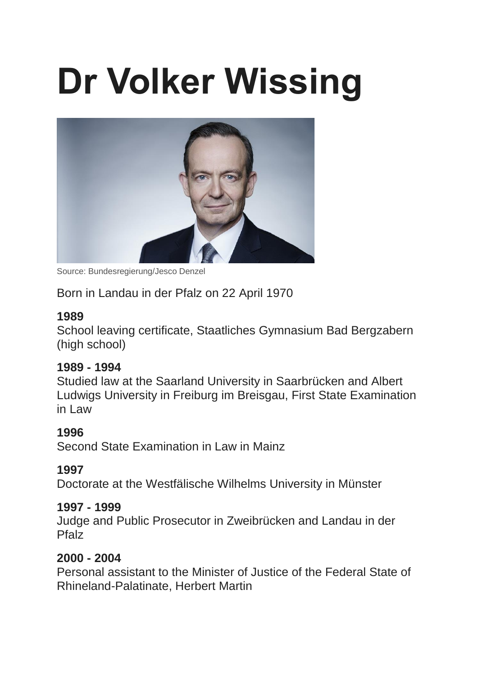# **Dr Volker Wissing**



Source: Bundesregierung/Jesco Denzel

Born in Landau in der Pfalz on 22 April 1970

## **1989**

School leaving certificate, Staatliches Gymnasium Bad Bergzabern (high school)

## **1989 - 1994**

Studied law at the Saarland University in Saarbrücken and Albert Ludwigs University in Freiburg im Breisgau, First State Examination in Law

# **1996**

Second State Examination in Law in Mainz

# **1997**

Doctorate at the Westfälische Wilhelms University in Münster

## **1997 - 1999**

Judge and Public Prosecutor in Zweibrücken and Landau in der Pfalz

# **2000 - 2004**

Personal assistant to the Minister of Justice of the Federal State of Rhineland-Palatinate, Herbert Martin